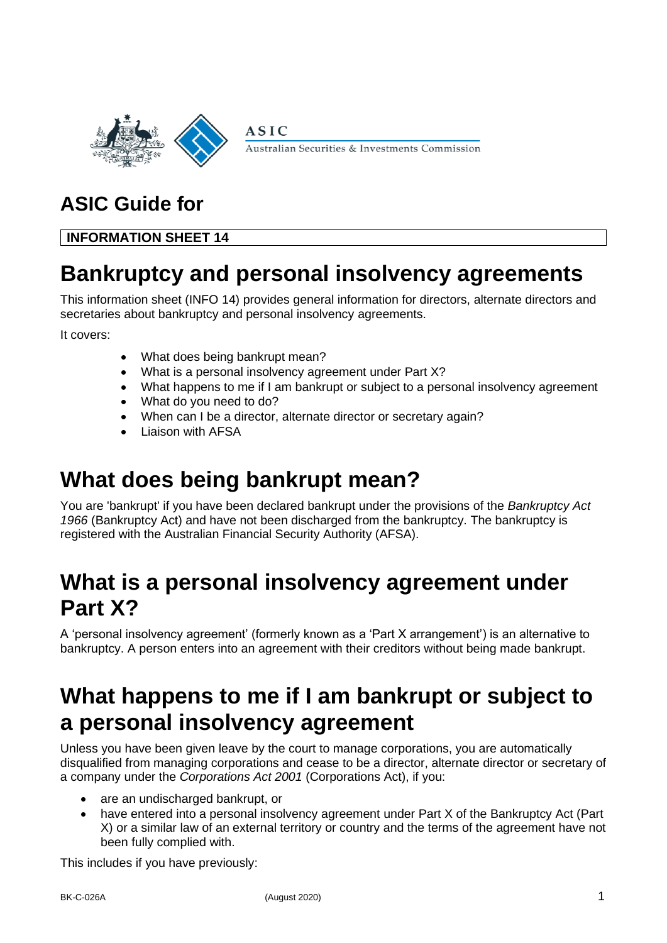

Australian Securities & Investments Commission

## **ASIC Guide for**

#### **INFORMATION SHEET 14**

### **Bankruptcy and personal insolvency agreements**

This information sheet (INFO 14) provides general information for directors, alternate directors and secretaries about bankruptcy and personal insolvency agreements.

It covers:

- What does being bankrupt mean?
- What is a personal insolvency agreement under Part X?

**ASIC** 

- What happens to me if I am bankrupt or subject to a personal insolvency agreement
- What do you need to do?
- When can I be a director, alternate director or secretary again?
- Liaison with AFSA

# **What does being bankrupt mean?**

You are 'bankrupt' if you have been declared bankrupt under the provisions of the *Bankruptcy Act 1966* (Bankruptcy Act) and have not been discharged from the bankruptcy. The bankruptcy is registered with the Australian Financial Security Authority (AFSA).

### **What is a personal insolvency agreement under Part X?**

A 'personal insolvency agreement' (formerly known as a 'Part X arrangement') is an alternative to bankruptcy. A person enters into an agreement with their creditors without being made bankrupt.

# **What happens to me if I am bankrupt or subject to a personal insolvency agreement**

Unless you have been given leave by the court to manage corporations, you are automatically disqualified from managing corporations and cease to be a director, alternate director or secretary of a company under the *Corporations Act 2001* (Corporations Act), if you:

- are an undischarged bankrupt, or
- have entered into a personal insolvency agreement under Part X of the Bankruptcy Act (Part X) or a similar law of an external territory or country and the terms of the agreement have not been fully complied with.

This includes if you have previously: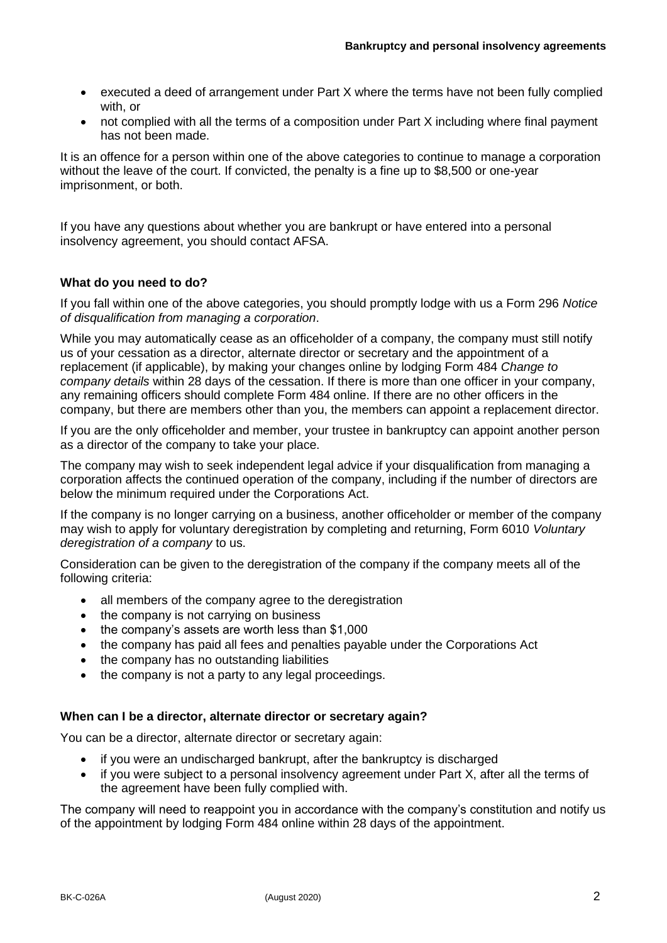- executed a deed of arrangement under Part X where the terms have not been fully complied with, or
- not complied with all the terms of a composition under Part X including where final payment has not been made.

It is an offence for a person within one of the above categories to continue to manage a corporation without the leave of the court. If convicted, the penalty is a fine up to \$8,500 or one-year imprisonment, or both.

If you have any questions about whether you are bankrupt or have entered into a personal insolvency agreement, you should contact AFSA.

#### **What do you need to do?**

If you fall within one of the above categories, you should promptly lodge with us a Form 296 *Notice of disqualification from managing a corporation*.

While you may automatically cease as an officeholder of a company, the company must still notify us of your cessation as a director, alternate director or secretary and the appointment of a replacement (if applicable), by making your changes online by lodging Form 484 *Change to company details* within 28 days of the cessation. If there is more than one officer in your company, any remaining officers should complete Form 484 online. If there are no other officers in the company, but there are members other than you, the members can appoint a replacement director.

If you are the only officeholder and member, your trustee in bankruptcy can appoint another person as a director of the company to take your place.

The company may wish to seek independent legal advice if your disqualification from managing a corporation affects the continued operation of the company, including if the number of directors are below the minimum required under the Corporations Act.

If the company is no longer carrying on a business, another officeholder or member of the company may wish to apply for voluntary deregistration by completing and returning, Form 6010 *Voluntary deregistration of a company* to us.

Consideration can be given to the deregistration of the company if the company meets all of the following criteria:

- all members of the company agree to the deregistration
- the company is not carrying on business
- the company's assets are worth less than \$1,000
- the company has paid all fees and penalties payable under the Corporations Act
- the company has no outstanding liabilities
- the company is not a party to any legal proceedings.

#### **When can I be a director, alternate director or secretary again?**

You can be a director, alternate director or secretary again:

- if you were an undischarged bankrupt, after the bankruptcy is discharged
- if you were subject to a personal insolvency agreement under Part X, after all the terms of the agreement have been fully complied with.

The company will need to reappoint you in accordance with the company's constitution and notify us of the appointment by lodging Form 484 online within 28 days of the appointment.